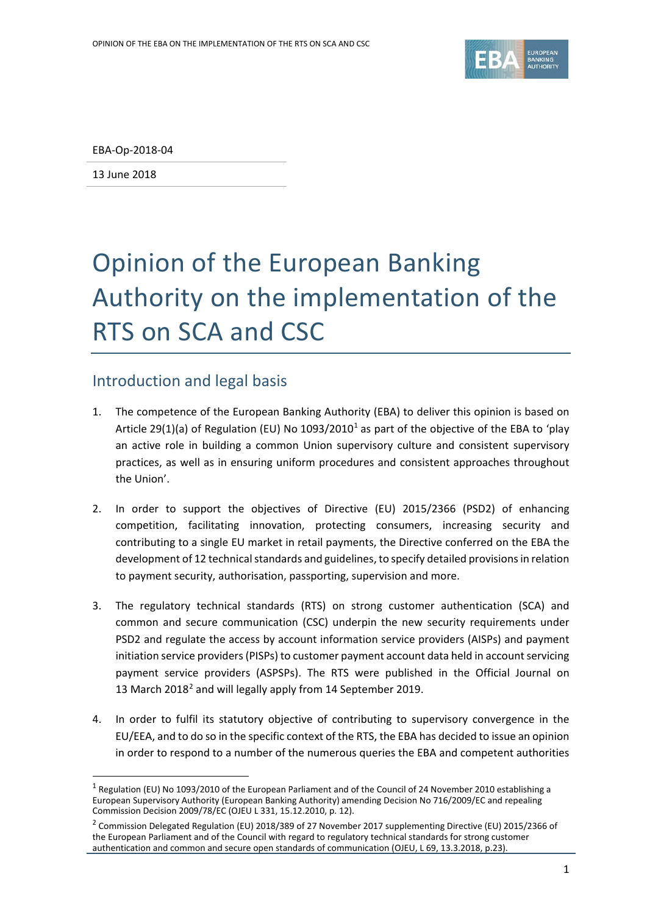

EBA-Op-2018-04

13 June 2018

l

# Opinion of the European Banking Authority on the implementation of the RTS on SCA and CSC

## Introduction and legal basis

- 1. The competence of the European Banking Authority (EBA) to deliver this opinion is based on Article 29([1](#page-0-0))(a) of Regulation (EU) No  $1093/2010<sup>1</sup>$  as part of the objective of the EBA to 'play an active role in building a common Union supervisory culture and consistent supervisory practices, as well as in ensuring uniform procedures and consistent approaches throughout the Union'.
- 2. In order to support the objectives of Directive (EU) 2015/2366 (PSD2) of enhancing competition, facilitating innovation, protecting consumers, increasing security and contributing to a single EU market in retail payments, the Directive conferred on the EBA the development of 12 technical standards and guidelines, to specify detailed provisions in relation to payment security, authorisation, passporting, supervision and more.
- 3. The regulatory technical standards (RTS) on strong customer authentication (SCA) and common and secure communication (CSC) underpin the new security requirements under PSD2 and regulate the access by account information service providers (AISPs) and payment initiation service providers (PISPs) to customer payment account data held in account servicing payment service providers (ASPSPs). The RTS were published in the Official Journal on 13 March [2](#page-0-1)018<sup>2</sup> and will legally apply from 14 September 2019.
- 4. In order to fulfil its statutory objective of contributing to supervisory convergence in the EU/EEA, and to do so in the specific context of the RTS, the EBA has decided to issue an opinion in order to respond to a number of the numerous queries the EBA and competent authorities

<span id="page-0-0"></span><sup>&</sup>lt;sup>1</sup> Regulation (EU) No 1093/2010 of the European Parliament and of the Council of 24 November 2010 establishing a European Supervisory Authority (European Banking Authority) amending Decision No 716/2009/EC and repealing Commission Decision 2009/78/EC (OJEU L 331, 15.12.2010, p. 12).

<span id="page-0-1"></span><sup>&</sup>lt;sup>2</sup> Commission Delegated Regulation (EU) 2018/389 of 27 November 2017 supplementing Directive (EU) 2015/2366 of the European Parliament and of the Council with regard to regulatory technical standards for strong customer authentication and common and secure open standards of communication (OJEU, L 69, 13.3.2018, p.23).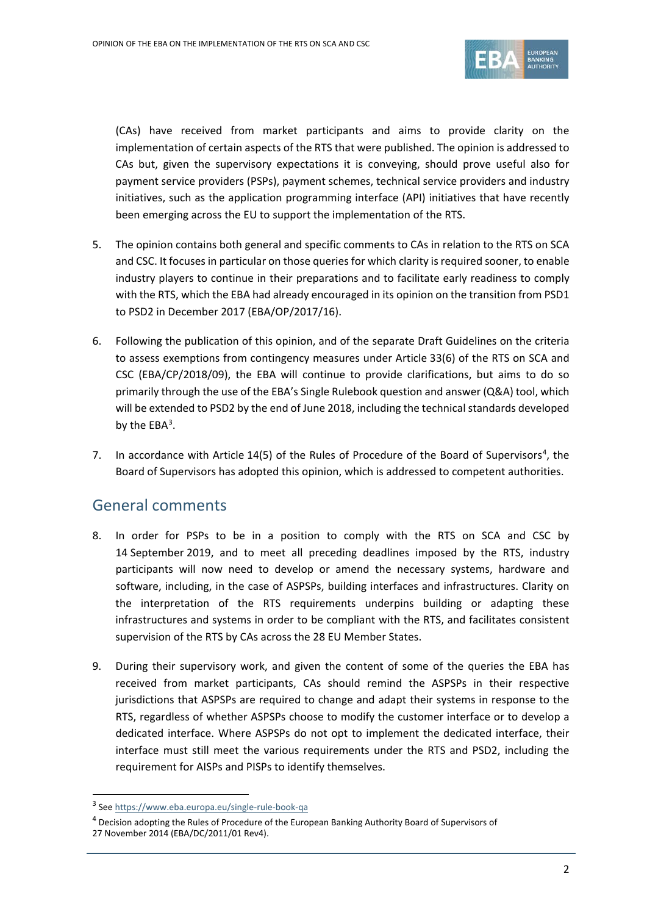

(CAs) have received from market participants and aims to provide clarity on the implementation of certain aspects of the RTS that were published. The opinion is addressed to CAs but, given the supervisory expectations it is conveying, should prove useful also for payment service providers (PSPs), payment schemes, technical service providers and industry initiatives, such as the application programming interface (API) initiatives that have recently been emerging across the EU to support the implementation of the RTS.

- 5. The opinion contains both general and specific comments to CAs in relation to the RTS on SCA and CSC. It focuses in particular on those queriesfor which clarity is required sooner, to enable industry players to continue in their preparations and to facilitate early readiness to comply with the RTS, which the EBA had already encouraged in its opinion on the transition from PSD1 to PSD2 in December 2017 (EBA/OP/2017/16).
- 6. Following the publication of this opinion, and of the separate Draft Guidelines on the criteria to assess exemptions from contingency measures under Article 33(6) of the RTS on SCA and CSC (EBA/CP/2018/09), the EBA will continue to provide clarifications, but aims to do so primarily through the use of the EBA's Single Rulebook question and answer (Q&A) tool, which will be extended to PSD2 by the end of June 2018, including the technical standards developed by the  $EBA<sup>3</sup>$  $EBA<sup>3</sup>$  $EBA<sup>3</sup>$ .
- 7. In accordance with Article 1[4](#page-1-1)(5) of the Rules of Procedure of the Board of Supervisors<sup>4</sup>, the Board of Supervisors has adopted this opinion, which is addressed to competent authorities.

# General comments

- 8. In order for PSPs to be in a position to comply with the RTS on SCA and CSC by 14 September 2019, and to meet all preceding deadlines imposed by the RTS, industry participants will now need to develop or amend the necessary systems, hardware and software, including, in the case of ASPSPs, building interfaces and infrastructures. Clarity on the interpretation of the RTS requirements underpins building or adapting these infrastructures and systems in order to be compliant with the RTS, and facilitates consistent supervision of the RTS by CAs across the 28 EU Member States.
- 9. During their supervisory work, and given the content of some of the queries the EBA has received from market participants, CAs should remind the ASPSPs in their respective jurisdictions that ASPSPs are required to change and adapt their systems in response to the RTS, regardless of whether ASPSPs choose to modify the customer interface or to develop a dedicated interface. Where ASPSPs do not opt to implement the dedicated interface, their interface must still meet the various requirements under the RTS and PSD2, including the requirement for AISPs and PISPs to identify themselves.

 $\overline{a}$ 

<span id="page-1-0"></span><sup>3</sup> See<https://www.eba.europa.eu/single-rule-book-qa>

 $^4$  Decision adopting the Rules of Procedure of the European Banking Authority Board of Supervisors of

<span id="page-1-1"></span><sup>27</sup> November 2014 (EBA/DC/2011/01 Rev4).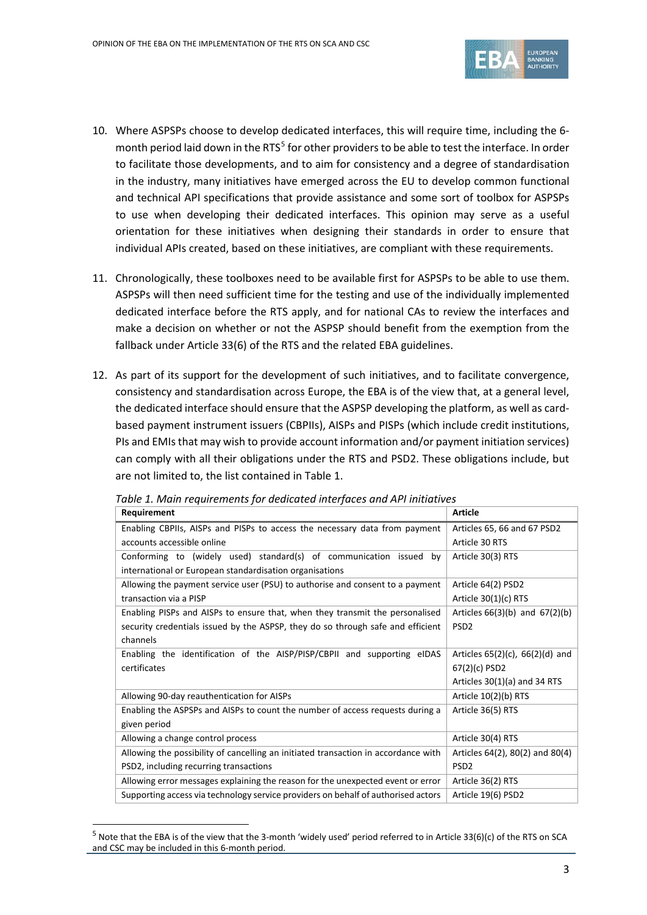

- 10. Where ASPSPs choose to develop dedicated interfaces, this will require time, including the 6- month period laid down in the RTS<sup>[5](#page-2-0)</sup> for other providers to be able to test the interface. In order to facilitate those developments, and to aim for consistency and a degree of standardisation in the industry, many initiatives have emerged across the EU to develop common functional and technical API specifications that provide assistance and some sort of toolbox for ASPSPs to use when developing their dedicated interfaces. This opinion may serve as a useful orientation for these initiatives when designing their standards in order to ensure that individual APIs created, based on these initiatives, are compliant with these requirements.
- 11. Chronologically, these toolboxes need to be available first for ASPSPs to be able to use them. ASPSPs will then need sufficient time for the testing and use of the individually implemented dedicated interface before the RTS apply, and for national CAs to review the interfaces and make a decision on whether or not the ASPSP should benefit from the exemption from the fallback under Article 33(6) of the RTS and the related EBA guidelines.
- 12. As part of its support for the development of such initiatives, and to facilitate convergence, consistency and standardisation across Europe, the EBA is of the view that, at a general level, the dedicated interface should ensure that the ASPSP developing the platform, as well as cardbased payment instrument issuers (CBPIIs), AISPs and PISPs (which include credit institutions, PIs and EMIs that may wish to provide account information and/or payment initiation services) can comply with all their obligations under the RTS and PSD2. These obligations include, but are not limited to, the list contained in Table 1.

| Requirement                                                                        | <b>Article</b>                       |  |
|------------------------------------------------------------------------------------|--------------------------------------|--|
| Enabling CBPIIs, AISPs and PISPs to access the necessary data from payment         | Articles 65, 66 and 67 PSD2          |  |
| accounts accessible online                                                         | Article 30 RTS                       |  |
| Conforming to (widely used) standard(s) of communication issued by                 | Article 30(3) RTS                    |  |
| international or European standardisation organisations                            |                                      |  |
| Allowing the payment service user (PSU) to authorise and consent to a payment      | Article 64(2) PSD2                   |  |
| transaction via a PISP                                                             | Article $30(1)(c)$ RTS               |  |
| Enabling PISPs and AISPs to ensure that, when they transmit the personalised       | Articles $66(3)(b)$ and $67(2)(b)$   |  |
| security credentials issued by the ASPSP, they do so through safe and efficient    | PSD <sub>2</sub>                     |  |
| channels                                                                           |                                      |  |
| Enabling the identification of the AISP/PISP/CBPII and supporting eIDAS            | Articles $65(2)(c)$ , $66(2)(d)$ and |  |
| certificates                                                                       | 67(2)(c) PSD2                        |  |
|                                                                                    | Articles $30(1)(a)$ and 34 RTS       |  |
| Allowing 90-day reauthentication for AISPs                                         | Article $10(2)(b)$ RTS               |  |
| Enabling the ASPSPs and AISPs to count the number of access requests during a      | Article 36(5) RTS                    |  |
| given period                                                                       |                                      |  |
| Allowing a change control process                                                  | Article 30(4) RTS                    |  |
| Allowing the possibility of cancelling an initiated transaction in accordance with | Articles 64(2), 80(2) and 80(4)      |  |
| PSD2, including recurring transactions                                             | PSD <sub>2</sub>                     |  |
| Allowing error messages explaining the reason for the unexpected event or error    | Article 36(2) RTS                    |  |
| Supporting access via technology service providers on behalf of authorised actors  | Article 19(6) PSD2                   |  |

*Table 1. Main requirements for dedicated interfaces and API initiatives*

 $\overline{a}$ 

<span id="page-2-0"></span><sup>&</sup>lt;sup>5</sup> Note that the EBA is of the view that the 3-month 'widely used' period referred to in Article 33(6)(c) of the RTS on SCA and CSC may be included in this 6-month period.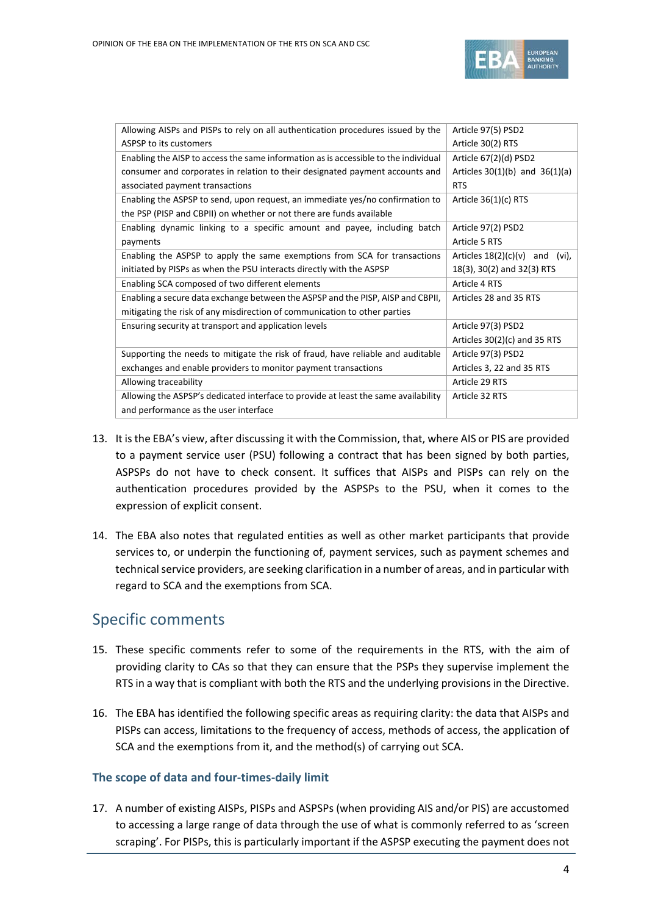

| Allowing AISPs and PISPs to rely on all authentication procedures issued by the     | Article 97(5) PSD2                  |  |
|-------------------------------------------------------------------------------------|-------------------------------------|--|
| ASPSP to its customers                                                              | Article 30(2) RTS                   |  |
| Enabling the AISP to access the same information as is accessible to the individual | Article 67(2)(d) PSD2               |  |
| consumer and corporates in relation to their designated payment accounts and        | Articles $30(1)(b)$ and $36(1)(a)$  |  |
| associated payment transactions                                                     | <b>RTS</b>                          |  |
| Enabling the ASPSP to send, upon request, an immediate yes/no confirmation to       | Article $36(1)(c)$ RTS              |  |
| the PSP (PISP and CBPII) on whether or not there are funds available                |                                     |  |
| Enabling dynamic linking to a specific amount and payee, including batch            | Article 97(2) PSD2                  |  |
| payments                                                                            | Article 5 RTS                       |  |
| Enabling the ASPSP to apply the same exemptions from SCA for transactions           | Articles $18(2)(c)(v)$ and<br>(vi), |  |
| initiated by PISPs as when the PSU interacts directly with the ASPSP                | 18(3), 30(2) and 32(3) RTS          |  |
| Enabling SCA composed of two different elements                                     | Article 4 RTS                       |  |
| Enabling a secure data exchange between the ASPSP and the PISP, AISP and CBPII,     | Articles 28 and 35 RTS              |  |
| mitigating the risk of any misdirection of communication to other parties           |                                     |  |
| Ensuring security at transport and application levels                               | Article 97(3) PSD2                  |  |
|                                                                                     | Articles 30(2)(c) and 35 RTS        |  |
| Supporting the needs to mitigate the risk of fraud, have reliable and auditable     | Article 97(3) PSD2                  |  |
| exchanges and enable providers to monitor payment transactions                      | Articles 3, 22 and 35 RTS           |  |
| Allowing traceability                                                               | Article 29 RTS                      |  |
| Allowing the ASPSP's dedicated interface to provide at least the same availability  | Article 32 RTS                      |  |
| and performance as the user interface                                               |                                     |  |

- 13. It is the EBA's view, after discussing it with the Commission, that, where AIS or PIS are provided to a payment service user (PSU) following a contract that has been signed by both parties, ASPSPs do not have to check consent. It suffices that AISPs and PISPs can rely on the authentication procedures provided by the ASPSPs to the PSU, when it comes to the expression of explicit consent.
- 14. The EBA also notes that regulated entities as well as other market participants that provide services to, or underpin the functioning of, payment services, such as payment schemes and technical service providers, are seeking clarification in a number of areas, and in particular with regard to SCA and the exemptions from SCA.

## Specific comments

- 15. These specific comments refer to some of the requirements in the RTS, with the aim of providing clarity to CAs so that they can ensure that the PSPs they supervise implement the RTS in a way that is compliant with both the RTS and the underlying provisions in the Directive.
- 16. The EBA has identified the following specific areas as requiring clarity: the data that AISPs and PISPs can access, limitations to the frequency of access, methods of access, the application of SCA and the exemptions from it, and the method(s) of carrying out SCA.

## **The scope of data and four-times-daily limit**

17. A number of existing AISPs, PISPs and ASPSPs (when providing AIS and/or PIS) are accustomed to accessing a large range of data through the use of what is commonly referred to as 'screen scraping'. For PISPs, this is particularly important if the ASPSP executing the payment does not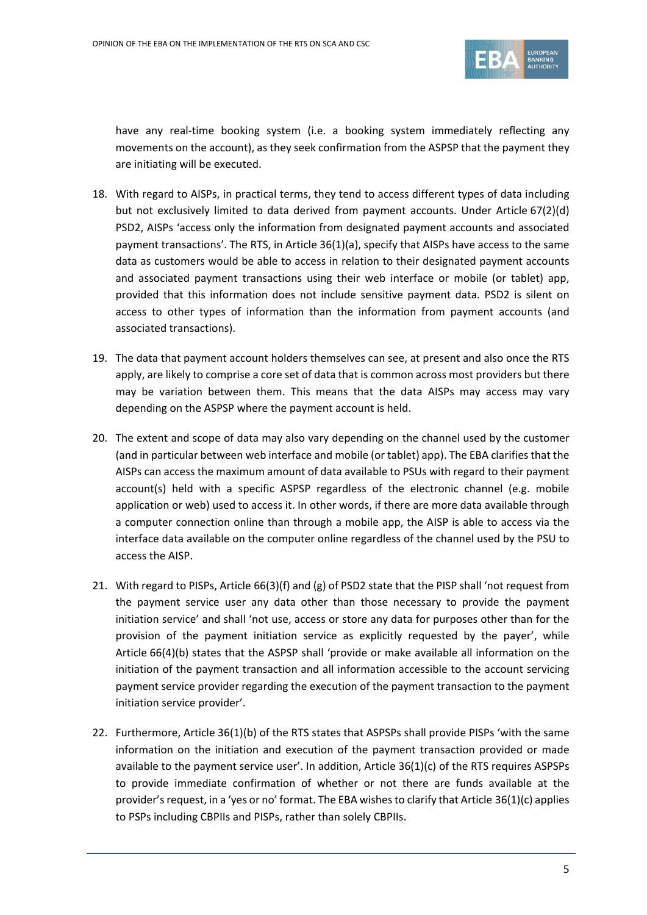

have any real-time booking system (i.e. a booking system immediately reflecting any movements on the account), as they seek confirmation from the ASPSP that the payment they are initiating will be executed.

- 18. With regard to AISPs, in practical terms, they tend to access different types of data including but not exclusively limited to data derived from payment accounts. Under Article 67(2)(d) PSD2, AISPs 'access only the information from designated payment accounts and associated payment transactions'. The RTS, in Article 36(1)(a), specify that AISPs have access to the same data as customers would be able to access in relation to their designated payment accounts and associated payment transactions using their web interface or mobile (or tablet) app, provided that this information does not include sensitive payment data. PSD2 is silent on access to other types of information than the information from payment accounts (and associated transactions).
- 19. The data that payment account holders themselves can see, at present and also once the RTS apply, are likely to comprise a core set of data that is common across most providers but there may be variation between them. This means that the data AISPs may access may vary depending on the ASPSP where the payment account is held.
- 20. The extent and scope of data may also vary depending on the channel used by the customer (and in particular between web interface and mobile (or tablet) app). The EBA clarifies that the AISPs can access the maximum amount of data available to PSUs with regard to their payment account(s) held with a specific ASPSP regardless of the electronic channel (e.g. mobile application or web) used to access it. In other words, if there are more data available through a computer connection online than through a mobile app, the AISP is able to access via the interface data available on the computer online regardless of the channel used by the PSU to access the AISP.
- 21. With regard to PISPs, Article 66(3)(f) and (g) of PSD2 state that the PISP shall 'not request from the payment service user any data other than those necessary to provide the payment initiation service' and shall 'not use, access or store any data for purposes other than for the provision of the payment initiation service as explicitly requested by the payer', while Article 66(4)(b) states that the ASPSP shall 'provide or make available all information on the initiation of the payment transaction and all information accessible to the account servicing payment service provider regarding the execution of the payment transaction to the payment initiation service provider'.
- 22. Furthermore, Article 36(1)(b) of the RTS states that ASPSPs shall provide PISPs 'with the same information on the initiation and execution of the payment transaction provided or made available to the payment service user'. In addition, Article 36(1)(c) of the RTS requires ASPSPs to provide immediate confirmation of whether or not there are funds available at the provider's request, in a 'yes or no' format. The EBA wishes to clarify that Article 36(1)(c) applies to PSPs including CBPIIs and PISPs, rather than solely CBPIIs.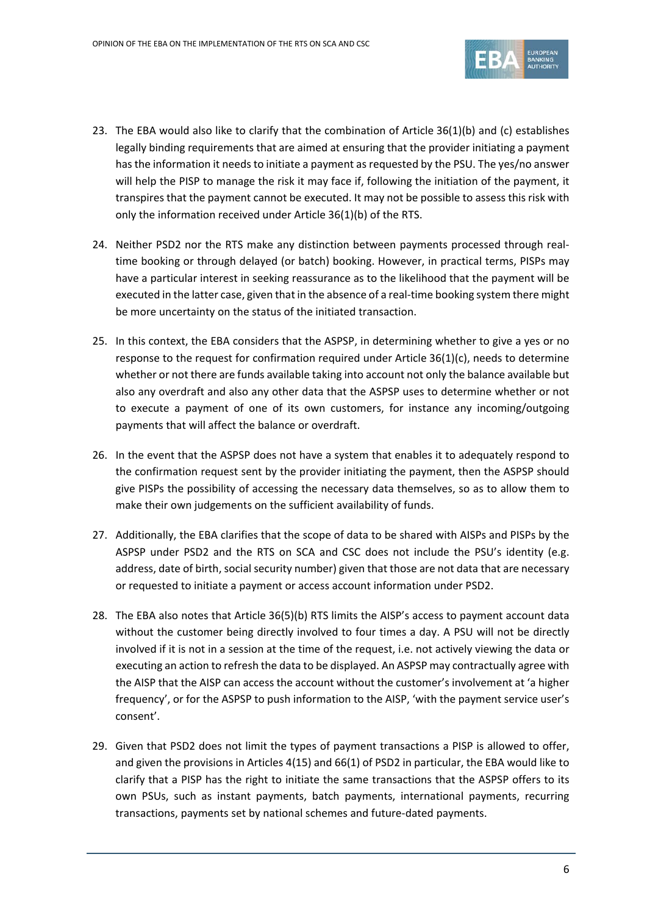

- 23. The EBA would also like to clarify that the combination of Article 36(1)(b) and (c) establishes legally binding requirements that are aimed at ensuring that the provider initiating a payment hasthe information it needs to initiate a payment as requested by the PSU. The yes/no answer will help the PISP to manage the risk it may face if, following the initiation of the payment, it transpires that the payment cannot be executed. It may not be possible to assess this risk with only the information received under Article 36(1)(b) of the RTS.
- 24. Neither PSD2 nor the RTS make any distinction between payments processed through realtime booking or through delayed (or batch) booking. However, in practical terms, PISPs may have a particular interest in seeking reassurance as to the likelihood that the payment will be executed in the latter case, given that in the absence of a real-time booking system there might be more uncertainty on the status of the initiated transaction.
- 25. In this context, the EBA considers that the ASPSP, in determining whether to give a yes or no response to the request for confirmation required under Article 36(1)(c), needs to determine whether or not there are funds available taking into account not only the balance available but also any overdraft and also any other data that the ASPSP uses to determine whether or not to execute a payment of one of its own customers, for instance any incoming/outgoing payments that will affect the balance or overdraft.
- 26. In the event that the ASPSP does not have a system that enables it to adequately respond to the confirmation request sent by the provider initiating the payment, then the ASPSP should give PISPs the possibility of accessing the necessary data themselves, so as to allow them to make their own judgements on the sufficient availability of funds.
- 27. Additionally, the EBA clarifies that the scope of data to be shared with AISPs and PISPs by the ASPSP under PSD2 and the RTS on SCA and CSC does not include the PSU's identity (e.g. address, date of birth, social security number) given that those are not data that are necessary or requested to initiate a payment or access account information under PSD2.
- 28. The EBA also notes that Article 36(5)(b) RTS limits the AISP's access to payment account data without the customer being directly involved to four times a day. A PSU will not be directly involved if it is not in a session at the time of the request, i.e. not actively viewing the data or executing an action to refresh the data to be displayed. An ASPSP may contractually agree with the AISP that the AISP can access the account without the customer's involvement at 'a higher frequency', or for the ASPSP to push information to the AISP, 'with the payment service user's consent'.
- 29. Given that PSD2 does not limit the types of payment transactions a PISP is allowed to offer, and given the provisions in Articles 4(15) and 66(1) of PSD2 in particular, the EBA would like to clarify that a PISP has the right to initiate the same transactions that the ASPSP offers to its own PSUs, such as instant payments, batch payments, international payments, recurring transactions, payments set by national schemes and future-dated payments.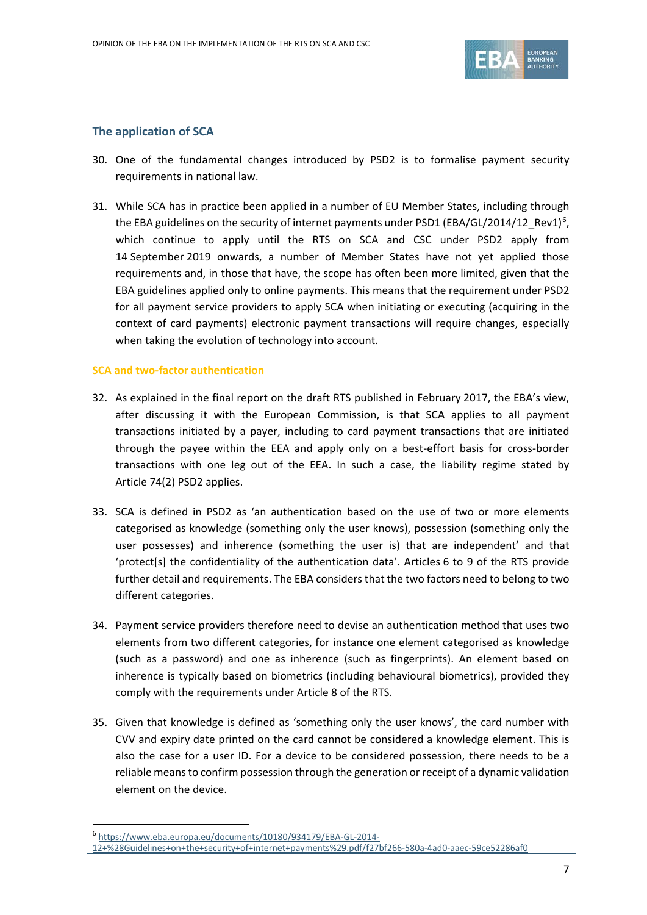

#### **The application of SCA**

- 30. One of the fundamental changes introduced by PSD2 is to formalise payment security requirements in national law.
- 31. While SCA has in practice been applied in a number of EU Member States, including through the EBA guidelines on the security of internet payments under PSD1 (EBA/GL/2014/12\_Rev1)<sup>[6](#page-6-0)</sup>, which continue to apply until the RTS on SCA and CSC under PSD2 apply from 14 September 2019 onwards, a number of Member States have not yet applied those requirements and, in those that have, the scope has often been more limited, given that the EBA guidelines applied only to online payments. This means that the requirement under PSD2 for all payment service providers to apply SCA when initiating or executing (acquiring in the context of card payments) electronic payment transactions will require changes, especially when taking the evolution of technology into account.

#### **SCA and two-factor authentication**

- 32. As explained in the final report on the draft RTS published in February 2017, the EBA's view, after discussing it with the European Commission, is that SCA applies to all payment transactions initiated by a payer, including to card payment transactions that are initiated through the payee within the EEA and apply only on a best-effort basis for cross-border transactions with one leg out of the EEA. In such a case, the liability regime stated by Article 74(2) PSD2 applies.
- 33. SCA is defined in PSD2 as 'an authentication based on the use of two or more elements categorised as knowledge (something only the user knows), possession (something only the user possesses) and inherence (something the user is) that are independent' and that 'protect[s] the confidentiality of the authentication data'. Articles 6 to 9 of the RTS provide further detail and requirements. The EBA considers that the two factors need to belong to two different categories.
- 34. Payment service providers therefore need to devise an authentication method that uses two elements from two different categories, for instance one element categorised as knowledge (such as a password) and one as inherence (such as fingerprints). An element based on inherence is typically based on biometrics (including behavioural biometrics), provided they comply with the requirements under Article 8 of the RTS.
- 35. Given that knowledge is defined as 'something only the user knows', the card number with CVV and expiry date printed on the card cannot be considered a knowledge element. This is also the case for a user ID. For a device to be considered possession, there needs to be a reliable means to confirm possession through the generation or receipt of a dynamic validation element on the device.

 $\overline{a}$ 

<sup>6</sup> [https://www.eba.europa.eu/documents/10180/934179/EBA-GL-2014-](https://www.eba.europa.eu/documents/10180/934179/EBA-GL-2014-12+%28Guidelines+on+the+security+of+internet+payments%29.pdf/f27bf266-580a-4ad0-aaec-59ce52286af0)

<span id="page-6-0"></span>[<sup>12+%28</sup>Guidelines+on+the+security+of+internet+payments%29.pdf/f27bf266-580a-4ad0-aaec-59ce52286af0](https://www.eba.europa.eu/documents/10180/934179/EBA-GL-2014-12+%28Guidelines+on+the+security+of+internet+payments%29.pdf/f27bf266-580a-4ad0-aaec-59ce52286af0)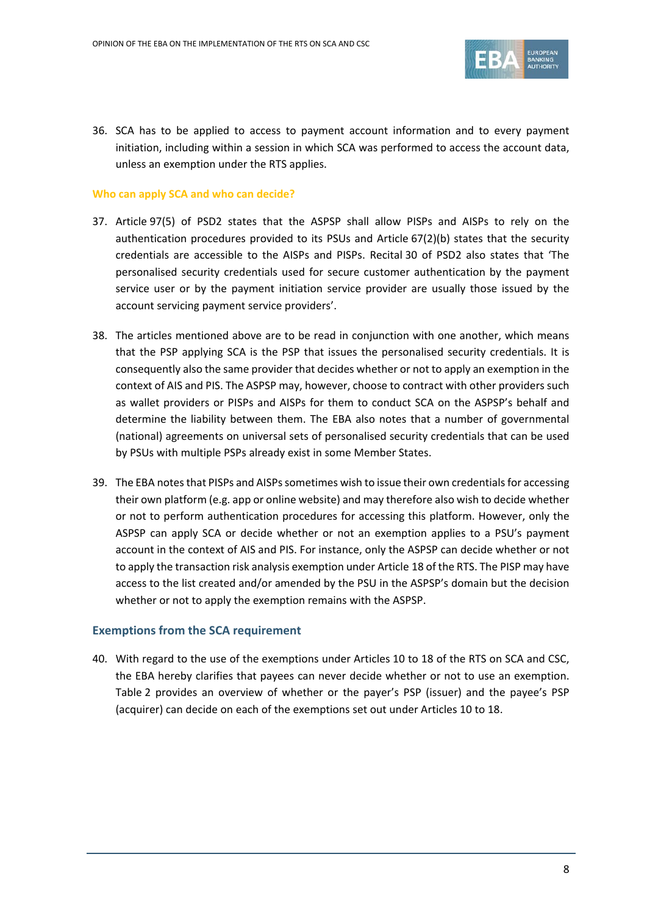

36. SCA has to be applied to access to payment account information and to every payment initiation, including within a session in which SCA was performed to access the account data, unless an exemption under the RTS applies.

#### **Who can apply SCA and who can decide?**

- 37. Article 97(5) of PSD2 states that the ASPSP shall allow PISPs and AISPs to rely on the authentication procedures provided to its PSUs and Article 67(2)(b) states that the security credentials are accessible to the AISPs and PISPs. Recital 30 of PSD2 also states that 'The personalised security credentials used for secure customer authentication by the payment service user or by the payment initiation service provider are usually those issued by the account servicing payment service providers'.
- 38. The articles mentioned above are to be read in conjunction with one another, which means that the PSP applying SCA is the PSP that issues the personalised security credentials. It is consequently also the same provider that decides whether or not to apply an exemption in the context of AIS and PIS. The ASPSP may, however, choose to contract with other providers such as wallet providers or PISPs and AISPs for them to conduct SCA on the ASPSP's behalf and determine the liability between them. The EBA also notes that a number of governmental (national) agreements on universal sets of personalised security credentials that can be used by PSUs with multiple PSPs already exist in some Member States.
- 39. The EBA notes that PISPs and AISPs sometimes wish to issue their own credentials for accessing their own platform (e.g. app or online website) and may therefore also wish to decide whether or not to perform authentication procedures for accessing this platform. However, only the ASPSP can apply SCA or decide whether or not an exemption applies to a PSU's payment account in the context of AIS and PIS. For instance, only the ASPSP can decide whether or not to apply the transaction risk analysis exemption under Article 18 of the RTS. The PISP may have access to the list created and/or amended by the PSU in the ASPSP's domain but the decision whether or not to apply the exemption remains with the ASPSP.

#### **Exemptions from the SCA requirement**

40. With regard to the use of the exemptions under Articles 10 to 18 of the RTS on SCA and CSC, the EBA hereby clarifies that payees can never decide whether or not to use an exemption. Table 2 provides an overview of whether or the payer's PSP (issuer) and the payee's PSP (acquirer) can decide on each of the exemptions set out under Articles 10 to 18.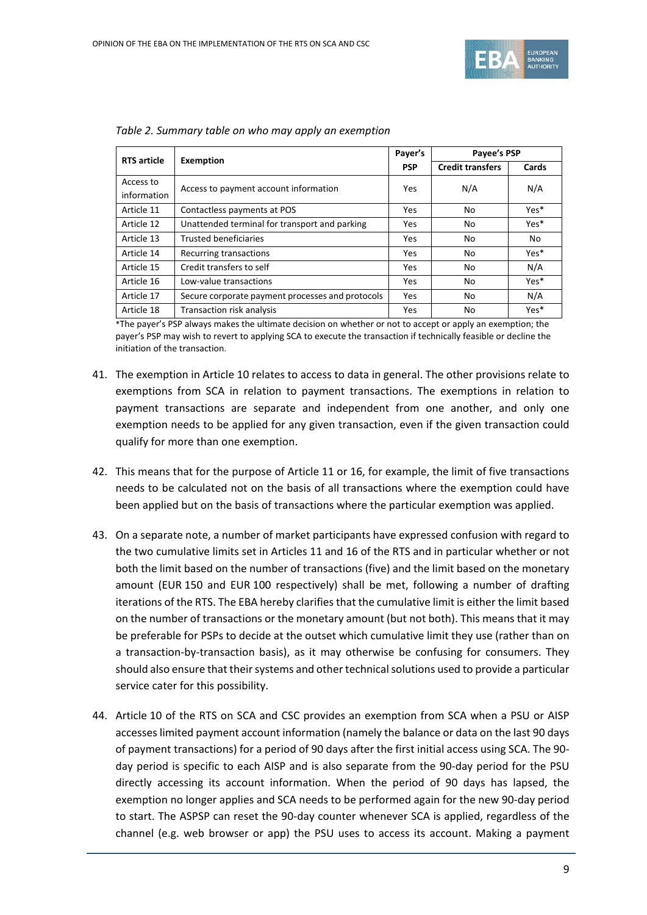

| <b>RTS</b> article | <b>Exemption</b>                                 | Payer's<br><b>PSP</b> | Payee's PSP             |       |
|--------------------|--------------------------------------------------|-----------------------|-------------------------|-------|
|                    |                                                  |                       | <b>Credit transfers</b> | Cards |
| Access to          | Access to payment account information            | Yes                   | N/A                     | N/A   |
| information        |                                                  |                       |                         |       |
| Article 11         | Contactless payments at POS                      | Yes                   | No                      | Yes*  |
| Article 12         | Unattended terminal for transport and parking    | Yes                   | No                      | Yes*  |
| Article 13         | <b>Trusted beneficiaries</b>                     | Yes                   | No                      | No    |
| Article 14         | Recurring transactions                           | Yes                   | No                      | Yes*  |
| Article 15         | Credit transfers to self                         | Yes                   | No                      | N/A   |
| Article 16         | Low-value transactions                           | Yes                   | No                      | Yes*  |
| Article 17         | Secure corporate payment processes and protocols | Yes                   | No                      | N/A   |
| Article 18         | Transaction risk analysis                        | Yes                   | No                      | Yes*  |

*Table 2. Summary table on who may apply an exemption*

\*The payer's PSP always makes the ultimate decision on whether or not to accept or apply an exemption; the payer's PSP may wish to revert to applying SCA to execute the transaction if technically feasible or decline the initiation of the transaction.

- 41. The exemption in Article 10 relates to access to data in general. The other provisions relate to exemptions from SCA in relation to payment transactions. The exemptions in relation to payment transactions are separate and independent from one another, and only one exemption needs to be applied for any given transaction, even if the given transaction could qualify for more than one exemption.
- 42. This means that for the purpose of Article 11 or 16, for example, the limit of five transactions needs to be calculated not on the basis of all transactions where the exemption could have been applied but on the basis of transactions where the particular exemption was applied.
- 43. On a separate note, a number of market participants have expressed confusion with regard to the two cumulative limits set in Articles 11 and 16 of the RTS and in particular whether or not both the limit based on the number of transactions (five) and the limit based on the monetary amount (EUR 150 and EUR 100 respectively) shall be met, following a number of drafting iterations of the RTS. The EBA hereby clarifies that the cumulative limit is either the limit based on the number of transactions or the monetary amount (but not both). This means that it may be preferable for PSPs to decide at the outset which cumulative limit they use (rather than on a transaction-by-transaction basis), as it may otherwise be confusing for consumers. They should also ensure that their systems and other technical solutions used to provide a particular service cater for this possibility.
- 44. Article 10 of the RTS on SCA and CSC provides an exemption from SCA when a PSU or AISP accesses limited payment account information (namely the balance or data on the last 90 days of payment transactions) for a period of 90 days after the first initial access using SCA. The 90 day period is specific to each AISP and is also separate from the 90-day period for the PSU directly accessing its account information. When the period of 90 days has lapsed, the exemption no longer applies and SCA needs to be performed again for the new 90-day period to start. The ASPSP can reset the 90-day counter whenever SCA is applied, regardless of the channel (e.g. web browser or app) the PSU uses to access its account. Making a payment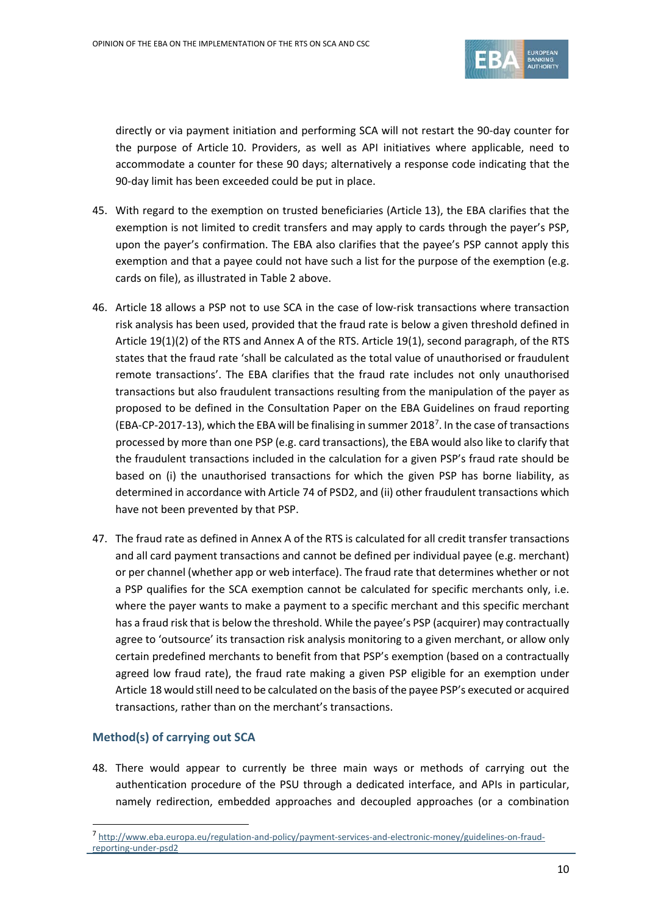

directly or via payment initiation and performing SCA will not restart the 90-day counter for the purpose of Article 10. Providers, as well as API initiatives where applicable, need to accommodate a counter for these 90 days; alternatively a response code indicating that the 90-day limit has been exceeded could be put in place.

- 45. With regard to the exemption on trusted beneficiaries (Article 13), the EBA clarifies that the exemption is not limited to credit transfers and may apply to cards through the payer's PSP, upon the payer's confirmation. The EBA also clarifies that the payee's PSP cannot apply this exemption and that a payee could not have such a list for the purpose of the exemption (e.g. cards on file), as illustrated in Table 2 above.
- 46. Article 18 allows a PSP not to use SCA in the case of low-risk transactions where transaction risk analysis has been used, provided that the fraud rate is below a given threshold defined in Article 19(1)(2) of the RTS and Annex A of the RTS. Article 19(1), second paragraph, of the RTS states that the fraud rate 'shall be calculated as the total value of unauthorised or fraudulent remote transactions'. The EBA clarifies that the fraud rate includes not only unauthorised transactions but also fraudulent transactions resulting from the manipulation of the payer as proposed to be defined in the Consultation Paper on the EBA Guidelines on fraud reporting (EBA-CP-201[7](#page-9-0)-13), which the EBA will be finalising in summer 2018<sup>7</sup>. In the case of transactions processed by more than one PSP (e.g. card transactions), the EBA would also like to clarify that the fraudulent transactions included in the calculation for a given PSP's fraud rate should be based on (i) the unauthorised transactions for which the given PSP has borne liability, as determined in accordance with Article 74 of PSD2, and (ii) other fraudulent transactions which have not been prevented by that PSP.
- 47. The fraud rate as defined in Annex A of the RTS is calculated for all credit transfer transactions and all card payment transactions and cannot be defined per individual payee (e.g. merchant) or per channel (whether app or web interface). The fraud rate that determines whether or not a PSP qualifies for the SCA exemption cannot be calculated for specific merchants only, i.e. where the payer wants to make a payment to a specific merchant and this specific merchant has a fraud risk that is below the threshold. While the payee's PSP (acquirer) may contractually agree to 'outsource' its transaction risk analysis monitoring to a given merchant, or allow only certain predefined merchants to benefit from that PSP's exemption (based on a contractually agreed low fraud rate), the fraud rate making a given PSP eligible for an exemption under Article 18 would still need to be calculated on the basis of the payee PSP's executed or acquired transactions, rather than on the merchant's transactions.

## **Method(s) of carrying out SCA**

 $\overline{a}$ 

48. There would appear to currently be three main ways or methods of carrying out the authentication procedure of the PSU through a dedicated interface, and APIs in particular, namely redirection, embedded approaches and decoupled approaches (or a combination

<span id="page-9-0"></span><sup>7</sup> [http://www.eba.europa.eu/regulation-and-policy/payment-services-and-electronic-money/guidelines-on-fraud](http://www.eba.europa.eu/regulation-and-policy/payment-services-and-electronic-money/guidelines-on-fraud-reporting-under-psd2)[reporting-under-psd2](http://www.eba.europa.eu/regulation-and-policy/payment-services-and-electronic-money/guidelines-on-fraud-reporting-under-psd2)